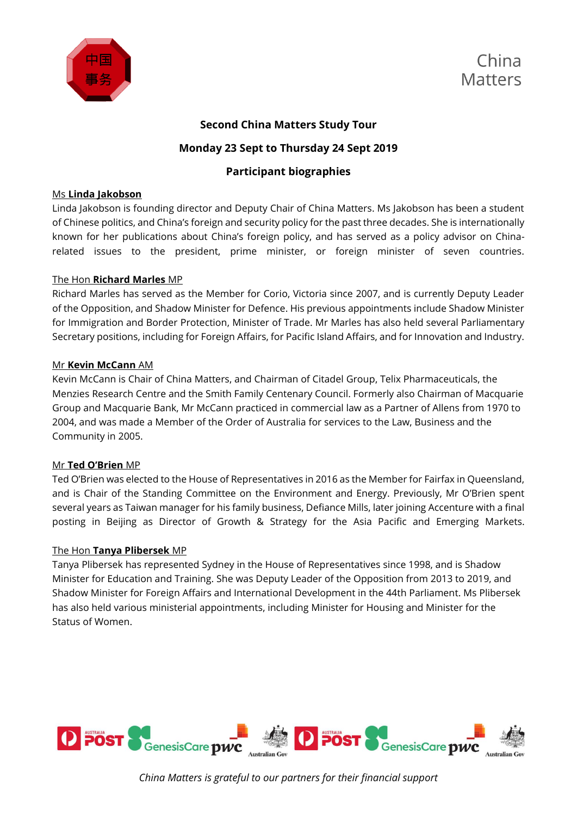



# **Second China Matters Study Tour**

# **Monday 23 Sept to Thursday 24 Sept 2019**

# **Participant biographies**

# Ms **Linda Jakobson**

Linda Jakobson is founding director and Deputy Chair of China Matters. Ms Jakobson has been a student of Chinese politics, and China's foreign and security policy for the past three decades. She is internationally known for her publications about China's foreign policy, and has served as a policy advisor on Chinarelated issues to the president, prime minister, or foreign minister of seven countries.

# The Hon **Richard Marles** MP

Richard Marles has served as the Member for Corio, Victoria since 2007, and is currently Deputy Leader of the Opposition, and Shadow Minister for Defence. His previous appointments include Shadow Minister for Immigration and Border Protection, Minister of Trade. Mr Marles has also held several Parliamentary Secretary positions, including for Foreign Affairs, for Pacific Island Affairs, and for Innovation and Industry.

# Mr **Kevin McCann** AM

Kevin McCann is Chair of China Matters, and Chairman of Citadel Group, Telix Pharmaceuticals, the Menzies Research Centre and the Smith Family Centenary Council. Formerly also Chairman of Macquarie Group and Macquarie Bank, Mr McCann practiced in commercial law as a Partner of Allens from 1970 to 2004, and was made a Member of the Order of Australia for services to the Law, Business and the Community in 2005.

# Mr **Ted O'Brien** MP

Ted O'Brien was elected to the House of Representatives in 2016 as the Member for Fairfax in Queensland, and is Chair of the Standing Committee on the Environment and Energy. Previously, Mr O'Brien spent several years as Taiwan manager for his family business, Defiance Mills, later joining Accenture with a final posting in Beijing as Director of Growth & Strategy for the Asia Pacific and Emerging Markets.

# The Hon **Tanya Plibersek** MP

Tanya Plibersek has represented Sydney in the House of Representatives since 1998, and is Shadow Minister for Education and Training. She was Deputy Leader of the Opposition from 2013 to 2019, and Shadow Minister for Foreign Affairs and International Development in the 44th Parliament. Ms Plibersek has also held various ministerial appointments, including Minister for Housing and Minister for the Status of Women.

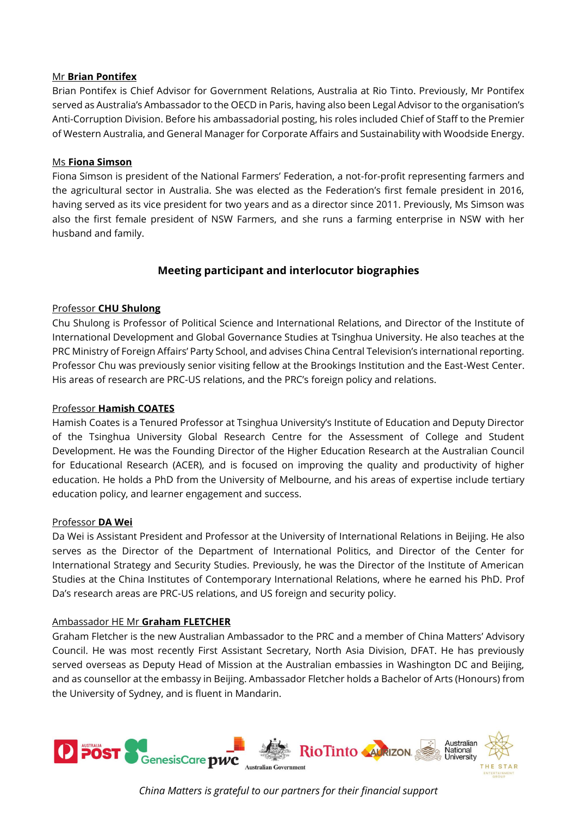#### Mr **Brian Pontifex**

Brian Pontifex is Chief Advisor for Government Relations, Australia at Rio Tinto. Previously, Mr Pontifex served as Australia's Ambassador to the OECD in Paris, having also been Legal Advisor to the organisation's Anti-Corruption Division. Before his ambassadorial posting, his roles included Chief of Staff to the Premier of Western Australia, and General Manager for Corporate Affairs and Sustainability with Woodside Energy.

#### Ms **Fiona Simson**

Fiona Simson is president of the National Farmers' Federation, a not-for-profit representing farmers and the agricultural sector in Australia. She was elected as the Federation's first female president in 2016, having served as its vice president for two years and as a director since 2011. Previously, Ms Simson was also the first female president of NSW Farmers, and she runs a farming enterprise in NSW with her husband and family.

# **Meeting participant and interlocutor biographies**

# Professor **CHU Shulong**

Chu Shulong is Professor of Political Science and International Relations, and Director of the Institute of International Development and Global Governance Studies at Tsinghua University. He also teaches at the PRC Ministry of Foreign Affairs' Party School, and advises China Central Television's international reporting. Professor Chu was previously senior visiting fellow at the Brookings Institution and the East-West Center. His areas of research are PRC-US relations, and the PRC's foreign policy and relations.

#### Professor **Hamish COATES**

Hamish Coates is a Tenured Professor at Tsinghua University's Institute of Education and Deputy Director of the Tsinghua University Global Research Centre for the Assessment of College and Student Development. He was the Founding Director of the Higher Education Research at the Australian Council for Educational Research (ACER), and is focused on improving the quality and productivity of higher education. He holds a PhD from the University of Melbourne, and his areas of expertise include tertiary education policy, and learner engagement and success.

#### Professor **DA Wei**

Da Wei is Assistant President and Professor at the University of International Relations in Beijing. He also serves as the Director of the Department of International Politics, and Director of the Center for International Strategy and Security Studies. Previously, he was the Director of the Institute of American Studies at the China Institutes of Contemporary International Relations, where he earned his PhD. Prof Da's research areas are PRC-US relations, and US foreign and security policy.

#### Ambassador HE Mr **Graham FLETCHER**

Graham Fletcher is the new Australian Ambassador to the PRC and a member of China Matters' Advisory Council. He was most recently First Assistant Secretary, North Asia Division, DFAT. He has previously served overseas as Deputy Head of Mission at the Australian embassies in Washington DC and Beijing, and as counsellor at the embassy in Beijing. Ambassador Fletcher holds a Bachelor of Arts (Honours) from the University of Sydney, and is fluent in Mandarin.

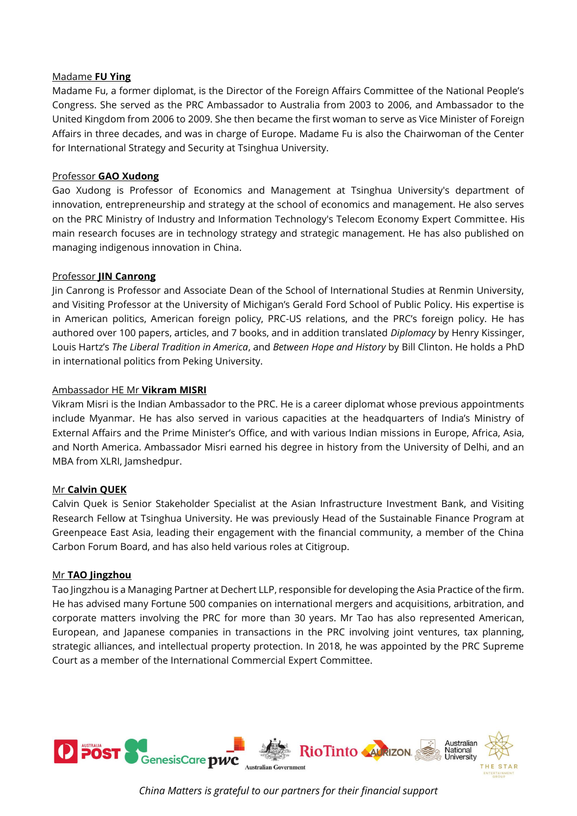#### Madame **FU Ying**

Madame Fu, a former diplomat, is the Director of the Foreign Affairs Committee of the National People's Congress. She served as the PRC Ambassador to Australia from 2003 to 2006, and Ambassador to the United Kingdom from 2006 to 2009. She then became the first woman to serve as Vice Minister of Foreign Affairs in three decades, and was in charge of Europe. Madame Fu is also the Chairwoman of the Center for International Strategy and Security at Tsinghua University.

# Professor **GAO Xudong**

Gao Xudong is Professor of Economics and Management at Tsinghua University's department of innovation, entrepreneurship and strategy at the school of economics and management. He also serves on the PRC Ministry of Industry and Information Technology's Telecom Economy Expert Committee. His main research focuses are in technology strategy and strategic management. He has also published on managing indigenous innovation in China.

# Professor **JIN Canrong**

Jin Canrong is Professor and Associate Dean of the School of International Studies at Renmin University, and Visiting Professor at the University of Michigan's Gerald Ford School of Public Policy. His expertise is in American politics, American foreign policy, PRC-US relations, and the PRC's foreign policy. He has authored over 100 papers, articles, and 7 books, and in addition translated *Diplomacy* by Henry Kissinger, Louis Hartz's *The Liberal Tradition in America*, and *Between Hope and History* by Bill Clinton. He holds a PhD in international politics from Peking University.

# Ambassador HE Mr **Vikram MISRI**

Vikram Misri is the Indian Ambassador to the PRC. He is a career diplomat whose previous appointments include Myanmar. He has also served in various capacities at the headquarters of India's Ministry of External Affairs and the Prime Minister's Office, and with various Indian missions in Europe, Africa, Asia, and North America. Ambassador Misri earned his degree in history from the University of Delhi, and an MBA from XLRI, Jamshedpur.

# Mr **Calvin QUEK**

Calvin Quek is Senior Stakeholder Specialist at the Asian Infrastructure Investment Bank, and Visiting Research Fellow at Tsinghua University. He was previously Head of the Sustainable Finance Program at Greenpeace East Asia, leading their engagement with the financial community, a member of the China Carbon Forum Board, and has also held various roles at Citigroup.

# Mr **TAO Jingzhou**

Tao Jingzhou is a Managing Partner at Dechert LLP, responsible for developing the Asia Practice of the firm. He has advised many Fortune 500 companies on international mergers and acquisitions, arbitration, and corporate matters involving the PRC for more than 30 years. Mr Tao has also represented American, European, and Japanese companies in transactions in the PRC involving joint ventures, tax planning, strategic alliances, and intellectual property protection. In 2018, he was appointed by the PRC Supreme Court as a member of the International Commercial Expert Committee.



*China Matters is grateful to our partners for their financial support*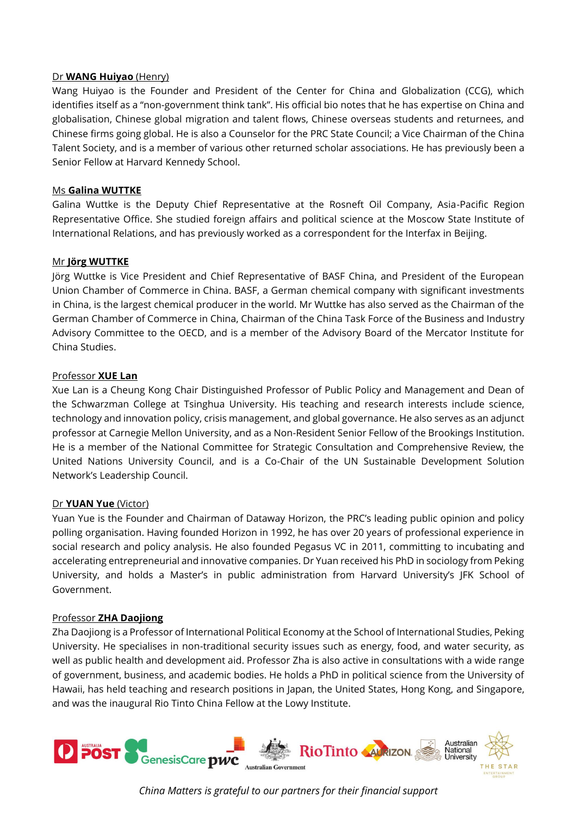#### Dr **WANG Huiyao** (Henry)

Wang Huiyao is the Founder and President of the Center for China and Globalization (CCG), which identifies itself as a "non-government think tank". His official bio notes that he has expertise on China and globalisation, Chinese global migration and talent flows, Chinese overseas students and returnees, and Chinese firms going global. He is also a Counselor for the PRC State Council; a Vice Chairman of the China Talent Society, and is a member of various other returned scholar associations. He has previously been a Senior Fellow at Harvard Kennedy School.

# Ms **Galina WUTTKE**

Galina Wuttke is the Deputy Chief Representative at the Rosneft Oil Company, Asia-Pacific Region Representative Office. She studied foreign affairs and political science at the Moscow State Institute of International Relations, and has previously worked as a correspondent for the Interfax in Beijing.

#### Mr **Jörg WUTTKE**

Jörg Wuttke is Vice President and Chief Representative of BASF China, and President of the European Union Chamber of Commerce in China. BASF, a German chemical company with significant investments in China, is the largest chemical producer in the world. Mr Wuttke has also served as the Chairman of the German Chamber of Commerce in China, Chairman of the China Task Force of the Business and Industry Advisory Committee to the OECD, and is a member of the Advisory Board of the Mercator Institute for China Studies.

#### Professor **XUE Lan**

Xue Lan is a Cheung Kong Chair Distinguished Professor of Public Policy and Management and Dean of the Schwarzman College at Tsinghua University. His teaching and research interests include science, technology and innovation policy, crisis management, and global governance. He also serves as an adjunct professor at Carnegie Mellon University, and as a Non-Resident Senior Fellow of the Brookings Institution. He is a member of the National Committee for Strategic Consultation and Comprehensive Review, the United Nations University Council, and is a Co-Chair of the UN Sustainable Development Solution Network's Leadership Council.

# Dr **YUAN Yue** (Victor)

Yuan Yue is the Founder and Chairman of Dataway Horizon, the PRC's leading public opinion and policy polling organisation. Having founded Horizon in 1992, he has over 20 years of professional experience in social research and policy analysis. He also founded Pegasus VC in 2011, committing to incubating and accelerating entrepreneurial and innovative companies. Dr Yuan received his PhD in sociology from Peking University, and holds a Master's in public administration from Harvard University's JFK School of Government.

# Professor **ZHA Daojiong**

Zha Daojiong is a Professor of International Political Economy at the School of International Studies, Peking University. He specialises in non-traditional security issues such as energy, food, and water security, as well as public health and development aid. Professor Zha is also active in consultations with a wide range of government, business, and academic bodies. He holds a PhD in political science from the University of Hawaii, has held teaching and research positions in Japan, the United States, Hong Kong, and Singapore, and was the inaugural Rio Tinto China Fellow at the Lowy Institute.